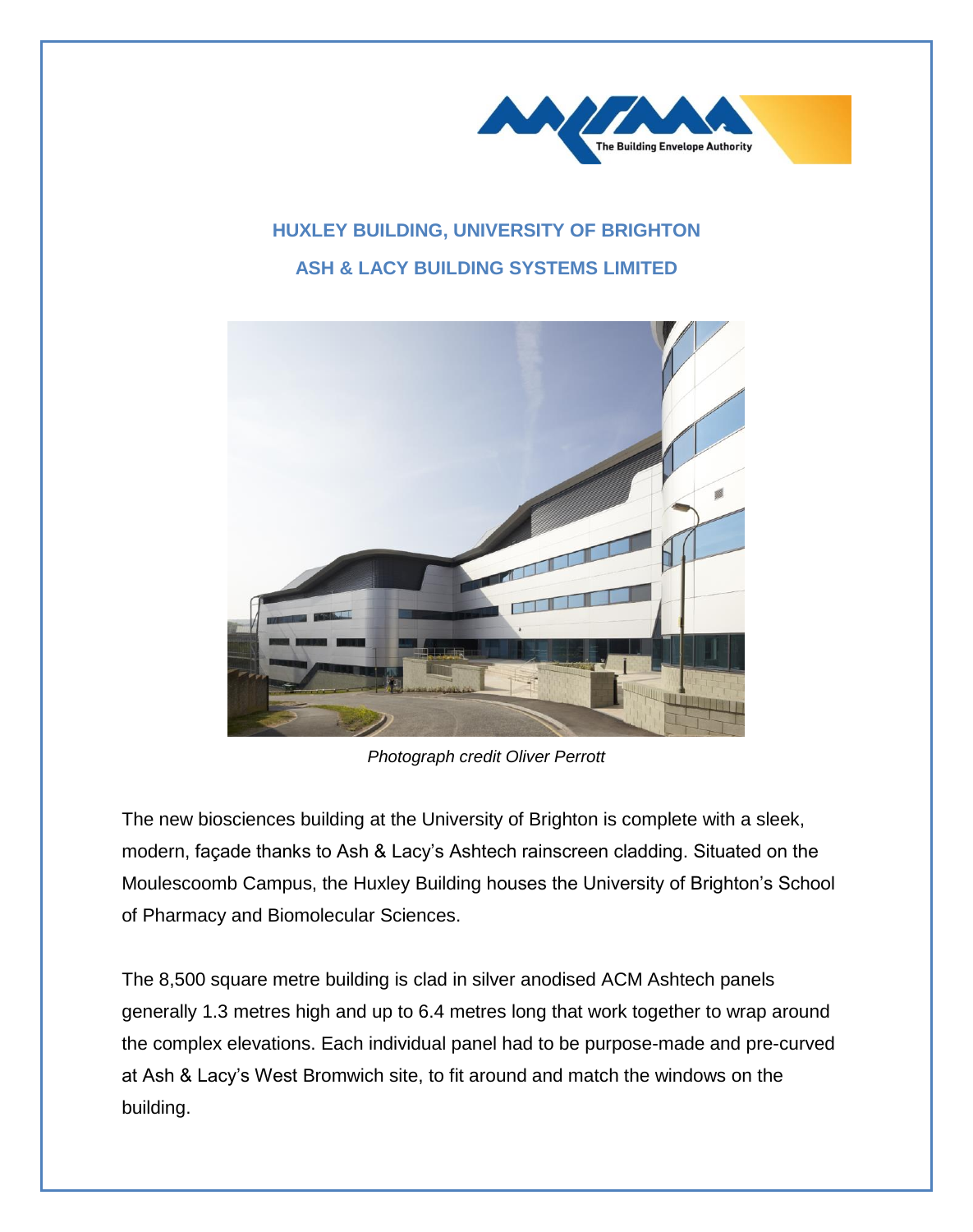

## **HUXLEY BUILDING, UNIVERSITY OF BRIGHTON ASH & LACY BUILDING SYSTEMS LIMITED**



*Photograph credit Oliver Perrott*

The new biosciences building at the University of Brighton is complete with a sleek, modern, façade thanks to Ash & Lacy's Ashtech rainscreen cladding. Situated on the Moulescoomb Campus, the Huxley Building houses the University of Brighton's School of Pharmacy and Biomolecular Sciences.

The 8,500 square metre building is clad in silver anodised ACM Ashtech panels generally 1.3 metres high and up to 6.4 metres long that work together to wrap around the complex elevations. Each individual panel had to be purpose-made and pre-curved at Ash & Lacy's West Bromwich site, to fit around and match the windows on the building.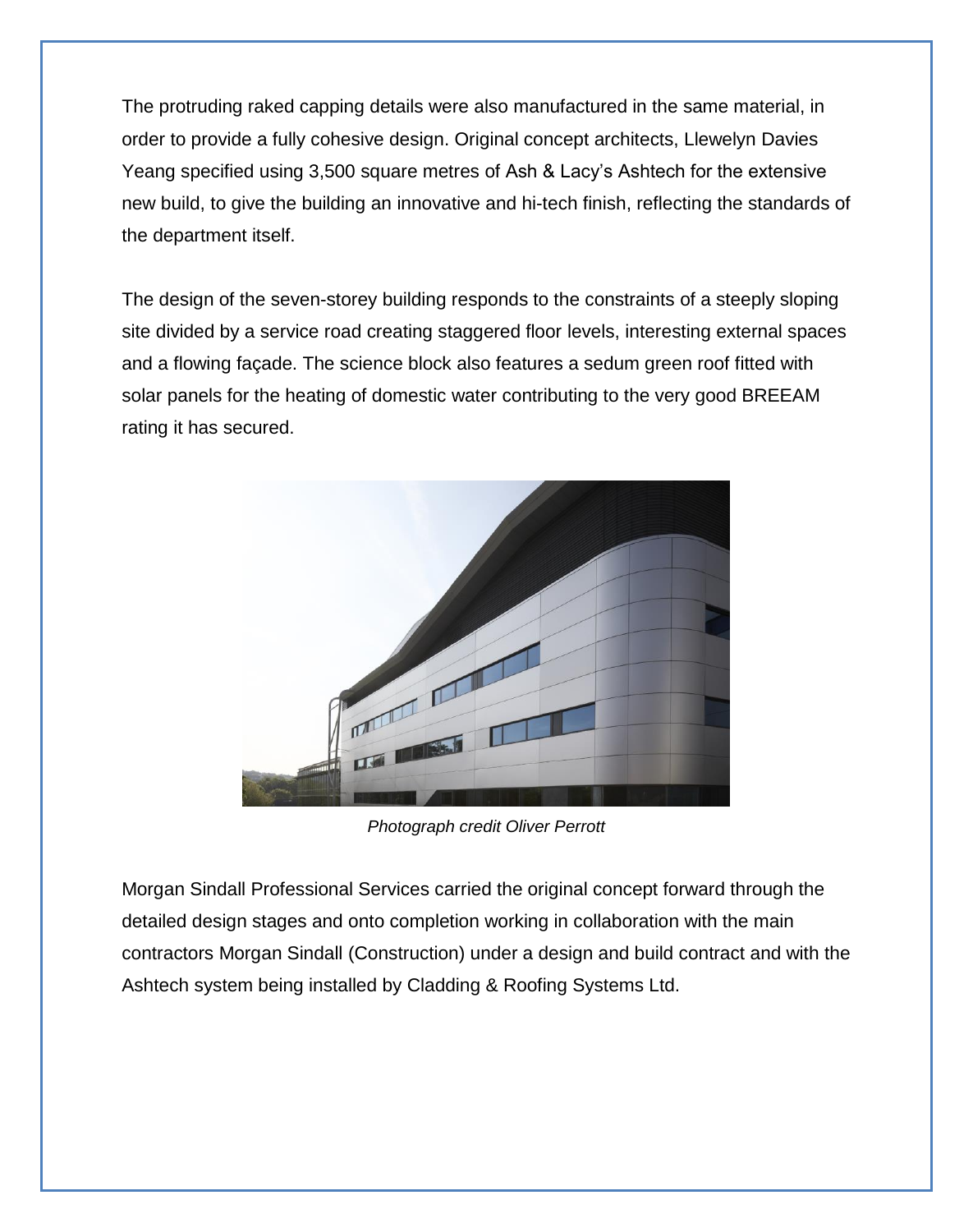The protruding raked capping details were also manufactured in the same material, in order to provide a fully cohesive design. Original concept architects, Llewelyn Davies Yeang specified using 3,500 square metres of Ash & Lacy's Ashtech for the extensive new build, to give the building an innovative and hi-tech finish, reflecting the standards of the department itself.

The design of the seven-storey building responds to the constraints of a steeply sloping site divided by a service road creating staggered floor levels, interesting external spaces and a flowing façade. The science block also features a sedum green roof fitted with solar panels for the heating of domestic water contributing to the very good BREEAM rating it has secured.



*Photograph credit Oliver Perrott*

Morgan Sindall Professional Services carried the original concept forward through the detailed design stages and onto completion working in collaboration with the main contractors Morgan Sindall (Construction) under a design and build contract and with the Ashtech system being installed by Cladding & Roofing Systems Ltd.